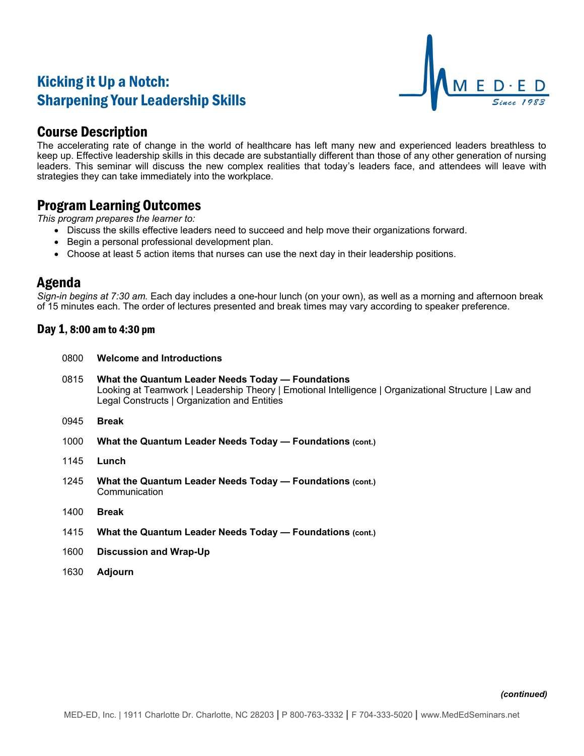# Kicking it Up a Notch: Sharpening Your Leadership Skills



## Course Description

The accelerating rate of change in the world of healthcare has left many new and experienced leaders breathless to keep up. Effective leadership skills in this decade are substantially different than those of any other generation of nursing leaders. This seminar will discuss the new complex realities that today's leaders face, and attendees will leave with strategies they can take immediately into the workplace.

### Program Learning Outcomes

*This program prepares the learner to:*

- Discuss the skills effective leaders need to succeed and help move their organizations forward.
- Begin a personal professional development plan.
- Choose at least 5 action items that nurses can use the next day in their leadership positions.

### Agenda

*Sign-in begins at 7:30 am.* Each day includes a one-hour lunch (on your own), as well as a morning and afternoon break of 15 minutes each. The order of lectures presented and break times may vary according to speaker preference.

#### Day 1, 8:00 am to 4:30 pm

- 0800 **Welcome and Introductions**
- 0815 **What the Quantum Leader Needs Today — Foundations** Looking at Teamwork | Leadership Theory | Emotional Intelligence | Organizational Structure | Law and Legal Constructs | Organization and Entities
- 0945 **Break**
- 1000 **What the Quantum Leader Needs Today — Foundations (cont.)**
- 1145 **Lunch**
- 1245 **What the Quantum Leader Needs Today — Foundations (cont.) Communication**
- 1400 **Break**
- 1415 **What the Quantum Leader Needs Today — Foundations (cont.)**
- 1600 **Discussion and Wrap-Up**
- 1630 **Adjourn**